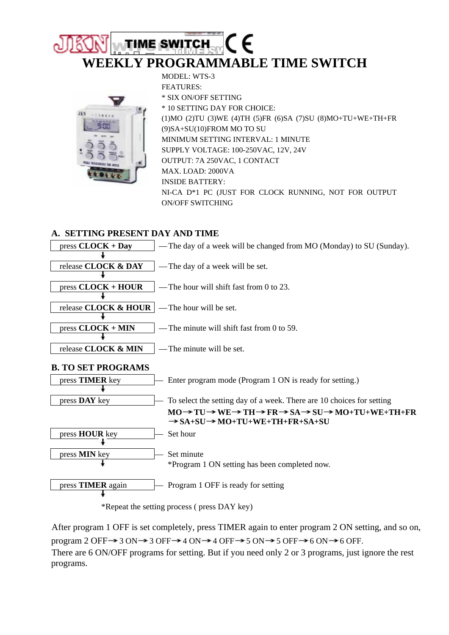# **TIME SWITCH WEEKLY PROGRAMMABLE TIME SWITCH**

MODEL: WTS-3



FEATURES: \* SIX ON/OFF SETTING \* 10 SETTING DAY FOR CHOICE: (1)MO (2)TU (3)WE (4)TH (5)FR (6)SA (7)SU (8)MO+TU+WE+TH+FR (9)SA+SU(10)FROM MO TO SU MINIMUM SETTING INTERVAL: 1 MINUTE SUPPLY VOLTAGE: 100-250VAC, 12V, 24V OUTPUT: 7A 250VAC, 1 CONTACT MAX. LOAD: 2000VA INSIDE BATTERY: NI-CA D\*1 PC (JUST FOR CLOCK RUNNING, NOT FOR OUTPUT ON/OFF SWITCHING

#### **A. SETTING PRESENT DAY AND TIME**



\*Repeat the setting process ( press DAY key)

After program 1 OFF is set completely, press TIMER again to enter program 2 ON setting, and so on, program 2 OFF  $\rightarrow$  3 ON  $\rightarrow$  3 OFF  $\rightarrow$  4 ON  $\rightarrow$  4 OFF  $\rightarrow$  5 ON  $\rightarrow$  5 OFF  $\rightarrow$  6 ON  $\rightarrow$  6 OFF. There are 6 ON/OFF programs for setting. But if you need only 2 or 3 programs, just ignore the rest programs.